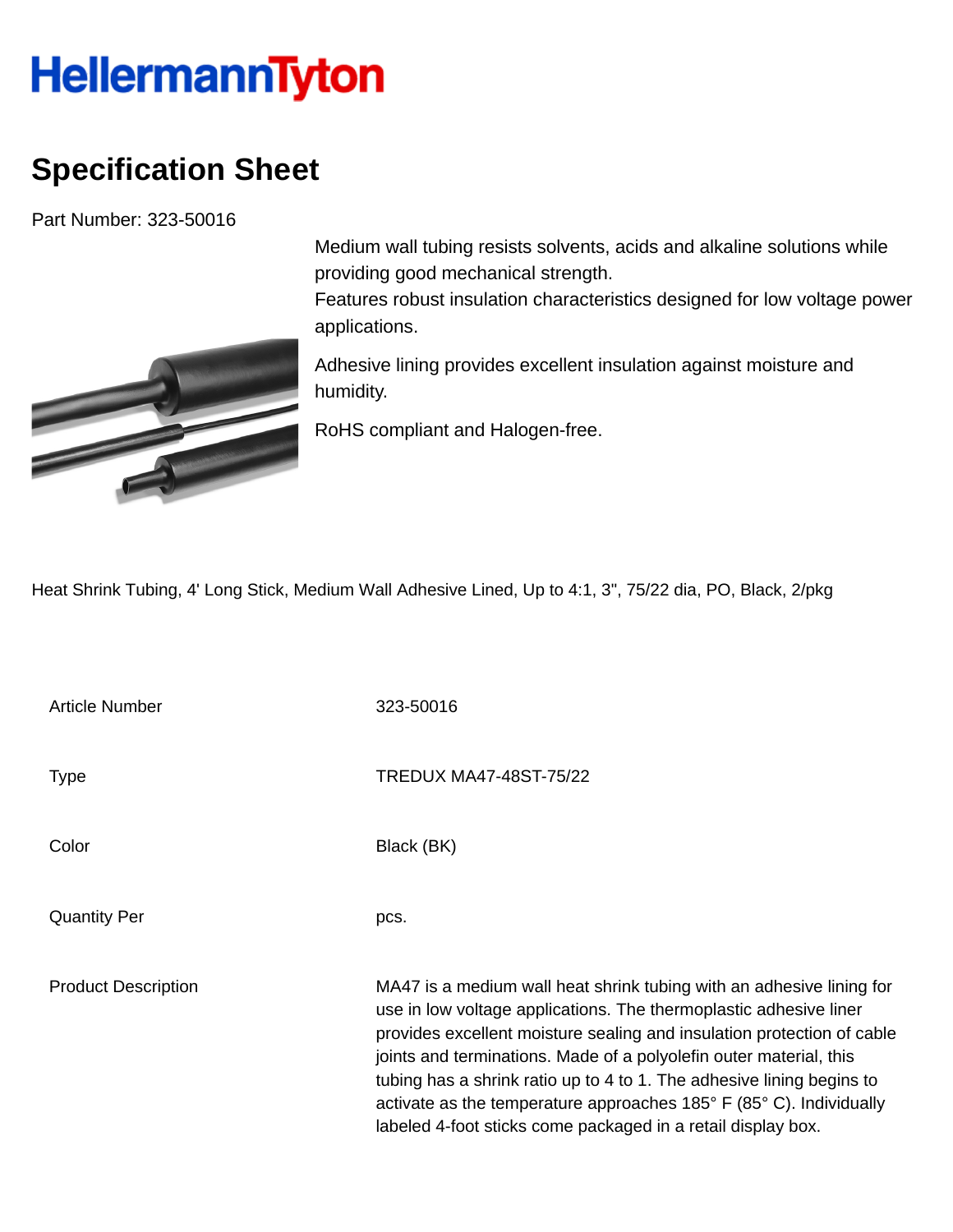## **HellermannTyton**

## **Specification Sheet**

Part Number: 323-50016



Medium wall tubing resists solvents, acids and alkaline solutions while providing good mechanical strength.

Features robust insulation characteristics designed for low voltage power applications.

Adhesive lining provides excellent insulation against moisture and humidity.

RoHS compliant and Halogen-free.

Heat Shrink Tubing, 4' Long Stick, Medium Wall Adhesive Lined, Up to 4:1, 3", 75/22 dia, PO, Black, 2/pkg

Article Number 323-50016 Type Type TREDUX MA47-48ST-75/22 Color Black (BK) Quantity Per pcs. Product Description MA47 is a medium wall heat shrink tubing with an adhesive lining for use in low voltage applications. The thermoplastic adhesive liner provides excellent moisture sealing and insulation protection of cable joints and terminations. Made of a polyolefin outer material, this tubing has a shrink ratio up to 4 to 1. The adhesive lining begins to activate as the temperature approaches 185° F (85° C). Individually labeled 4-foot sticks come packaged in a retail display box.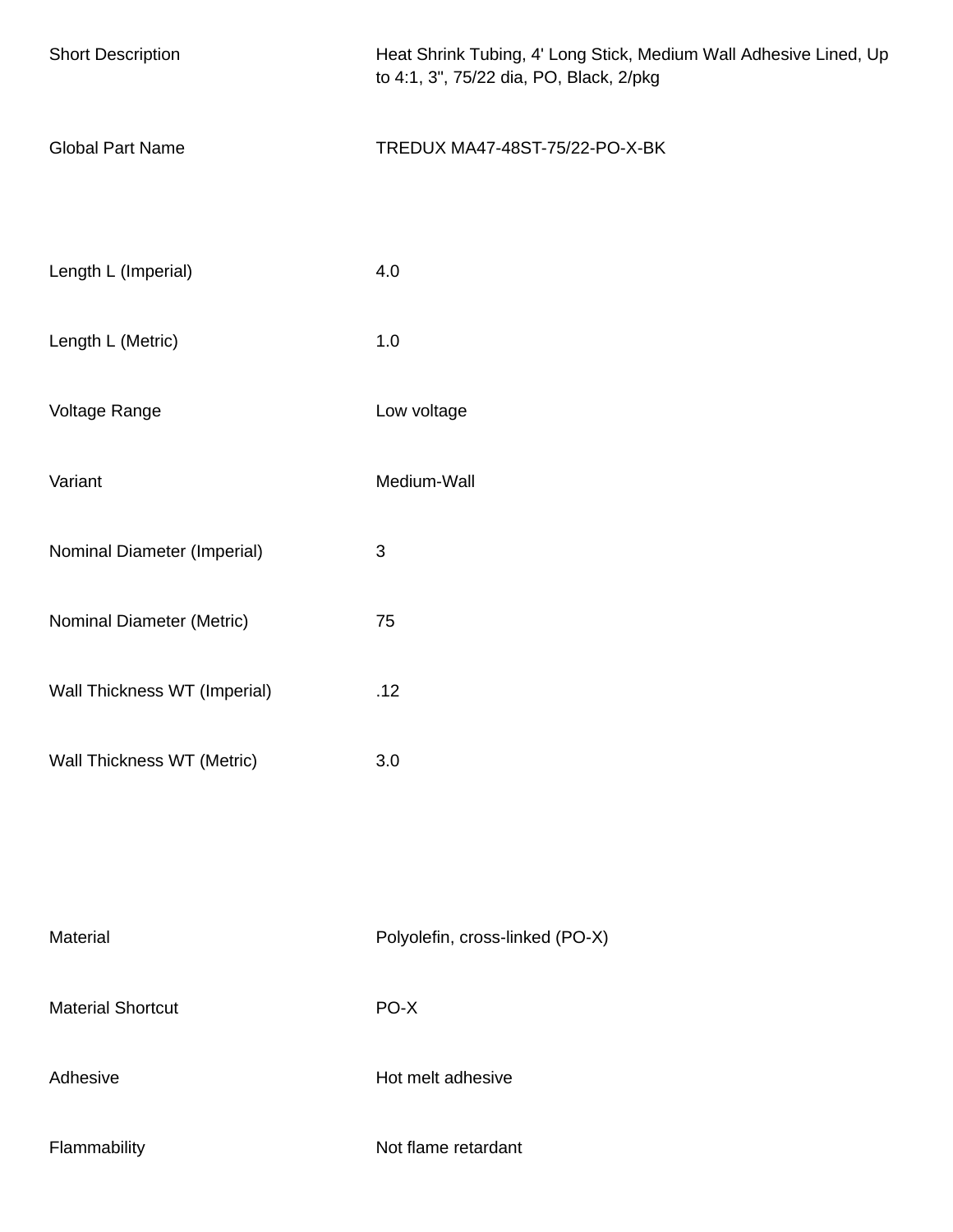| <b>Short Description</b>     | Heat Shrink Tubing, 4' Long Stick, Medium Wall Adhesive Lined, Up<br>to 4:1, 3", 75/22 dia, PO, Black, 2/pkg |  |
|------------------------------|--------------------------------------------------------------------------------------------------------------|--|
| <b>Global Part Name</b>      | TREDUX MA47-48ST-75/22-PO-X-BK                                                                               |  |
| Length L (Imperial)          | 4.0                                                                                                          |  |
| Length L (Metric)            | 1.0                                                                                                          |  |
| Voltage Range                | Low voltage                                                                                                  |  |
| Variant                      | Medium-Wall                                                                                                  |  |
| Nominal Diameter (Imperial)  | $\ensuremath{\mathsf{3}}$                                                                                    |  |
| Nominal Diameter (Metric)    | 75                                                                                                           |  |
| Wall Thickness WT (Imperial) | .12                                                                                                          |  |
| Wall Thickness WT (Metric)   | 3.0                                                                                                          |  |
|                              |                                                                                                              |  |
| Material                     | Polyolefin, cross-linked (PO-X)                                                                              |  |
| <b>Material Shortcut</b>     | PO-X                                                                                                         |  |
| Adhesive                     | Hot melt adhesive                                                                                            |  |
| Flammability                 | Not flame retardant                                                                                          |  |